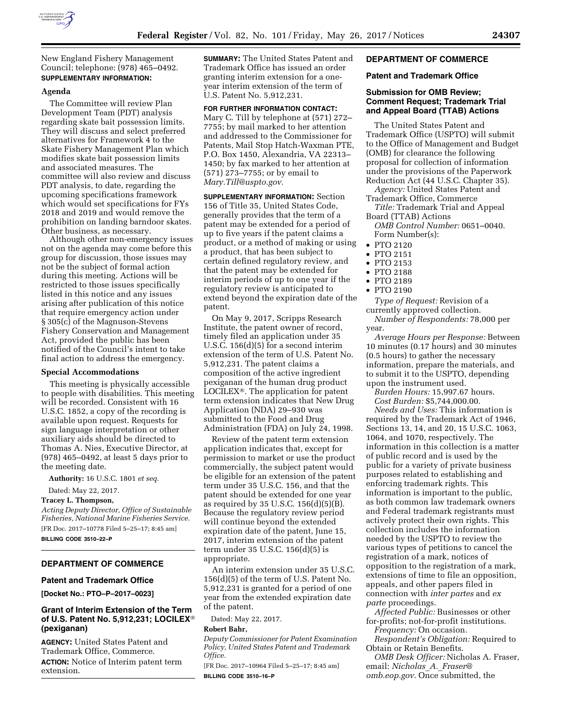

New England Fishery Management Council; telephone: (978) 465–0492. **SUPPLEMENTARY INFORMATION:** 

## **Agenda**

The Committee will review Plan Development Team (PDT) analysis regarding skate bait possession limits. They will discuss and select preferred alternatives for Framework 4 to the Skate Fishery Management Plan which modifies skate bait possession limits and associated measures. The committee will also review and discuss PDT analysis, to date, regarding the upcoming specifications framework which would set specifications for FYs 2018 and 2019 and would remove the prohibition on landing barndoor skates. Other business, as necessary.

Although other non-emergency issues not on the agenda may come before this group for discussion, those issues may not be the subject of formal action during this meeting. Actions will be restricted to those issues specifically listed in this notice and any issues arising after publication of this notice that require emergency action under § 305(c) of the Magnuson-Stevens Fishery Conservation and Management Act, provided the public has been notified of the Council's intent to take final action to address the emergency.

## **Special Accommodations**

This meeting is physically accessible to people with disabilities. This meeting will be recorded. Consistent with 16 U.S.C. 1852, a copy of the recording is available upon request. Requests for sign language interpretation or other auxiliary aids should be directed to Thomas A. Nies, Executive Director, at (978) 465–0492, at least 5 days prior to the meeting date.

**Authority:** 16 U.S.C. 1801 *et seq.* 

Dated: May 22, 2017.

#### **Tracey L. Thompson,**

*Acting Deputy Director, Office of Sustainable Fisheries, National Marine Fisheries Service.*  [FR Doc. 2017–10778 Filed 5–25–17; 8:45 am] **BILLING CODE 3510–22–P** 

## **DEPARTMENT OF COMMERCE**

## **Patent and Trademark Office**

**[Docket No.: PTO–P–2017–0023]** 

# **Grant of Interim Extension of the Term of U.S. Patent No. 5,912,231; LOCILEX**® **(pexiganan)**

**AGENCY:** United States Patent and Trademark Office, Commerce. **ACTION:** Notice of Interim patent term extension.

**SUMMARY:** The United States Patent and Trademark Office has issued an order granting interim extension for a oneyear interim extension of the term of U.S. Patent No. 5,912,231.

#### **FOR FURTHER INFORMATION CONTACT:**

Mary C. Till by telephone at (571) 272– 7755; by mail marked to her attention and addressed to the Commissioner for Patents, Mail Stop Hatch-Waxman PTE, P.O. Box 1450, Alexandria, VA 22313– 1450; by fax marked to her attention at (571) 273–7755; or by email to *[Mary.Till@uspto.gov.](mailto:Mary.Till@uspto.gov)* 

**SUPPLEMENTARY INFORMATION:** Section 156 of Title 35, United States Code, generally provides that the term of a patent may be extended for a period of up to five years if the patent claims a product, or a method of making or using a product, that has been subject to certain defined regulatory review, and that the patent may be extended for interim periods of up to one year if the regulatory review is anticipated to extend beyond the expiration date of the patent.

On May 9, 2017, Scripps Research Institute, the patent owner of record, timely filed an application under 35 U.S.C. 156(d)(5) for a second interim extension of the term of U.S. Patent No. 5,912,231. The patent claims a composition of the active ingredient pexiganan of the human drug product LOCILEX®. The application for patent term extension indicates that New Drug Application (NDA) 29–930 was submitted to the Food and Drug Administration (FDA) on July 24, 1998.

Review of the patent term extension application indicates that, except for permission to market or use the product commercially, the subject patent would be eligible for an extension of the patent term under 35 U.S.C. 156, and that the patent should be extended for one year as required by 35 U.S.C.  $156(d)(5)(B)$ . Because the regulatory review period will continue beyond the extended expiration date of the patent, June 15, 2017, interim extension of the patent term under 35 U.S.C. 156(d)(5) is appropriate.

An interim extension under 35 U.S.C. 156(d)(5) of the term of U.S. Patent No. 5,912,231 is granted for a period of one year from the extended expiration date of the patent.

Dated: May 22, 2017.

### **Robert Bahr,**

*Deputy Commissioner for Patent Examination Policy, United States Patent and Trademark Office.* 

[FR Doc. 2017–10964 Filed 5–25–17; 8:45 am] **BILLING CODE 3510–16–P** 

# **DEPARTMENT OF COMMERCE**

## **Patent and Trademark Office**

# **Submission for OMB Review; Comment Request; Trademark Trial and Appeal Board (TTAB) Actions**

The United States Patent and Trademark Office (USPTO) will submit to the Office of Management and Budget (OMB) for clearance the following proposal for collection of information under the provisions of the Paperwork Reduction Act (44 U.S.C. Chapter 35).

- *Agency:* United States Patent and Trademark Office, Commerce
- *Title:* Trademark Trial and Appeal Board (TTAB) Actions
	- *OMB Control Number:* 0651–0040. Form Number(s):
- PTO 2120
- PTO 2151
- PTO 2153
- PTO 2188
- PTO 2189
- PTO 2190

*Type of Request:* Revision of a currently approved collection. *Number of Respondents:* 78,000 per year.

*Average Hours per Response:* Between 10 minutes (0.17 hours) and 30 minutes (0.5 hours) to gather the necessary information, prepare the materials, and to submit it to the USPTO, depending upon the instrument used.

*Burden Hours:* 15,997.67 hours. *Cost Burden:* \$5,744,000.00.

*Needs and Uses:* This information is required by the Trademark Act of 1946, Sections 13, 14, and 20, 15 U.S.C. 1063, 1064, and 1070, respectively. The information in this collection is a matter of public record and is used by the public for a variety of private business purposes related to establishing and enforcing trademark rights. This information is important to the public, as both common law trademark owners and Federal trademark registrants must actively protect their own rights. This collection includes the information needed by the USPTO to review the various types of petitions to cancel the registration of a mark, notices of opposition to the registration of a mark, extensions of time to file an opposition, appeals, and other papers filed in connection with *inter partes* and *ex parte* proceedings.

*Affected Public:* Businesses or other for-profits; not-for-profit institutions.

*Frequency:* On occasion. *Respondent's Obligation:* Required to

Obtain or Retain Benefits.

*OMB Desk Officer:* Nicholas A. Fraser, email: *[Nicholas](mailto:Nicholas_A._Fraser@omb.eop.gov)*\_*A.*\_*Fraser@ [omb.eop.gov.](mailto:Nicholas_A._Fraser@omb.eop.gov)* Once submitted, the